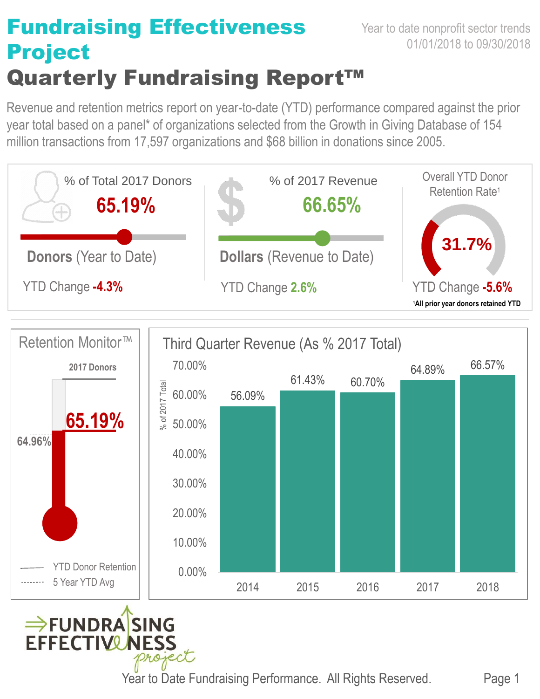## Fundraising Effectiveness Project Quarterly Fundraising Report™

Revenue and retention metrics report on year-to-date (YTD) performance compared against the prior year total based on a panel\* of organizations selected from the Growth in Giving Database of 154 million transactions from 17,597 organizations and \$68 billion in donations since 2005.







Year to Date Fundraising Performance. All Rights Reserved. Page 1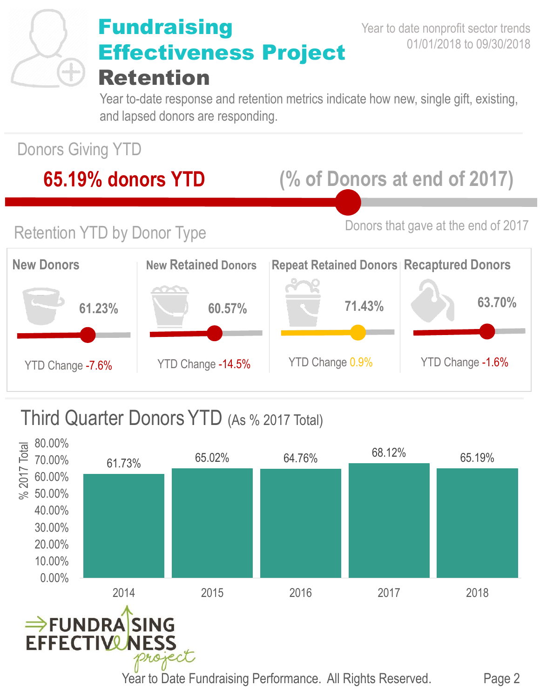

## **Fundraising** Effectiveness Project Retention

Year to-date response and retention metrics indicate how new, single gift, existing, and lapsed donors are responding.

Donors Giving YTD

### **65.19% donors YTD (% of Donors at end of 2017)**

Retention YTD by Donor Type Donors that gave at the end of 2017



#### Third Quarter Donors YTD (As % 2017 Total)

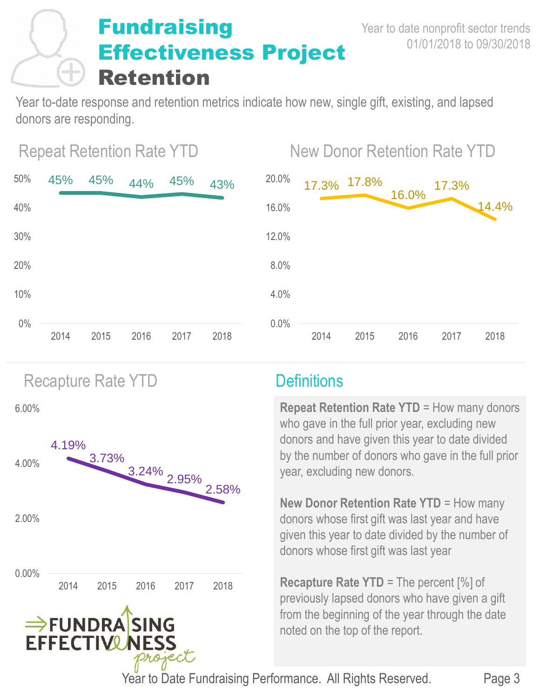## **Fundraising** Effectiveness Project Retention

Year to-date response and retention metrics indicate how new, single gift, existing, and lapsed donors are responding.



# Repeat Retention Rate YTD New Donor Retention Rate YTD



Recapture Rate YTD **Definitions** 

6.00%



**Repeat Retention Rate YTD** = How many donors who gave in the full prior year, excluding new donors and have given this year to date divided by the number of donors who gave in the full prior year, excluding new donors.

**New Donor Retention Rate YTD** = How many donors whose first gift was last year and have given this year to date divided by the number of donors whose first gift was last year

**Recapture Rate YTD** = The percent [%] of previously lapsed donors who have given a gift from the beginning of the year through the date noted on the top of the report.

Year to Date Fundraising Performance. All Rights Reserved.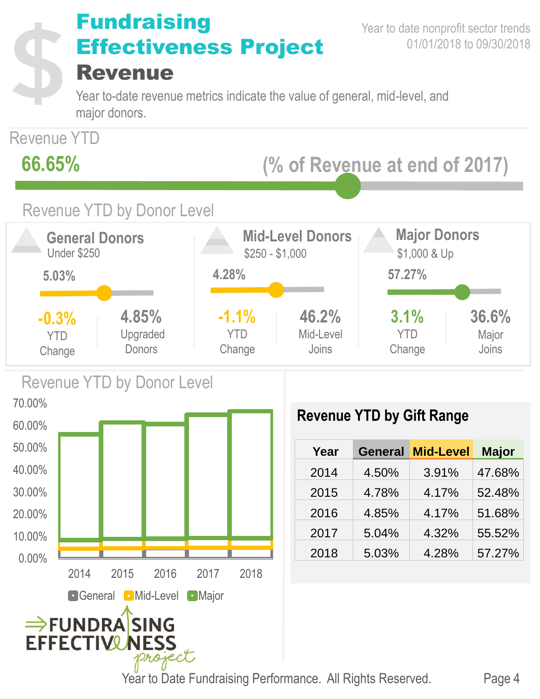

Year to Date Fundraising Performance. All Rights Reserved.